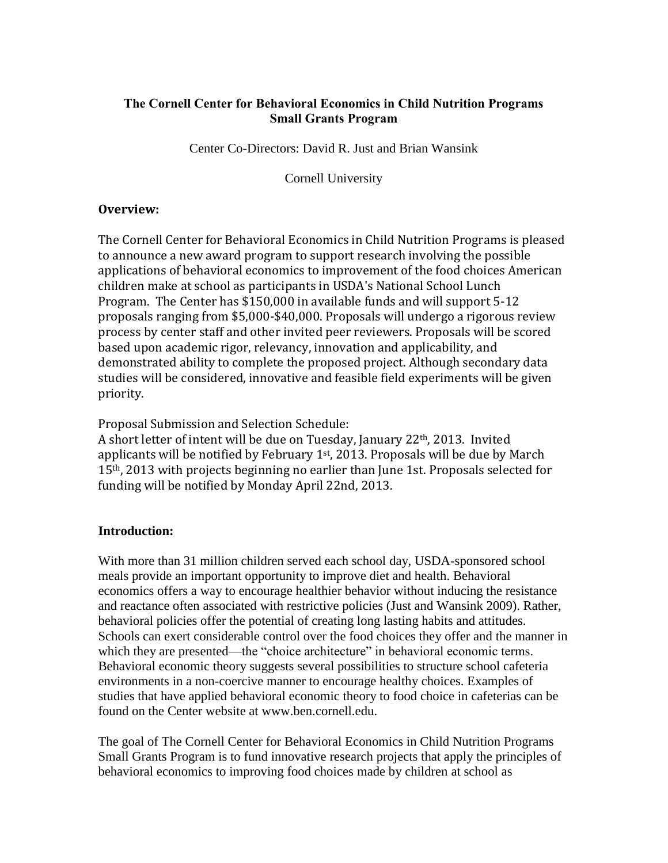## **The Cornell Center for Behavioral Economics in Child Nutrition Programs Small Grants Program**

Center Co-Directors: David R. Just and Brian Wansink

Cornell University

### **Overview:**

The Cornell Center for Behavioral Economics in Child Nutrition Programs is pleased to announce a new award program to support research involving the possible applications of behavioral economics to improvement of the food choices American children make at school as participants in USDA's National School Lunch Program. The Center has \$150,000 in available funds and will support 5-12 proposals ranging from \$5,000-\$40,000. Proposals will undergo a rigorous review process by center staff and other invited peer reviewers. Proposals will be scored based upon academic rigor, relevancy, innovation and applicability, and demonstrated ability to complete the proposed project. Although secondary data studies will be considered, innovative and feasible field experiments will be given priority.

Proposal Submission and Selection Schedule:

A short letter of intent will be due on Tuesday, January 22th, 2013. Invited applicants will be notified by February 1st, 2013. Proposals will be due by March 15th, 2013 with projects beginning no earlier than June 1st. Proposals selected for funding will be notified by Monday April 22nd, 2013.

### **Introduction:**

With more than 31 million children served each school day, USDA-sponsored school meals provide an important opportunity to improve diet and health. Behavioral economics offers a way to encourage healthier behavior without inducing the resistance and reactance often associated with restrictive policies (Just and Wansink 2009). Rather, behavioral policies offer the potential of creating long lasting habits and attitudes. Schools can exert considerable control over the food choices they offer and the manner in which they are presented—the "choice architecture" in behavioral economic terms. Behavioral economic theory suggests several possibilities to structure school cafeteria environments in a non-coercive manner to encourage healthy choices. Examples of studies that have applied behavioral economic theory to food choice in cafeterias can be found on the Center website at www.ben.cornell.edu.

The goal of The Cornell Center for Behavioral Economics in Child Nutrition Programs Small Grants Program is to fund innovative research projects that apply the principles of behavioral economics to improving food choices made by children at school as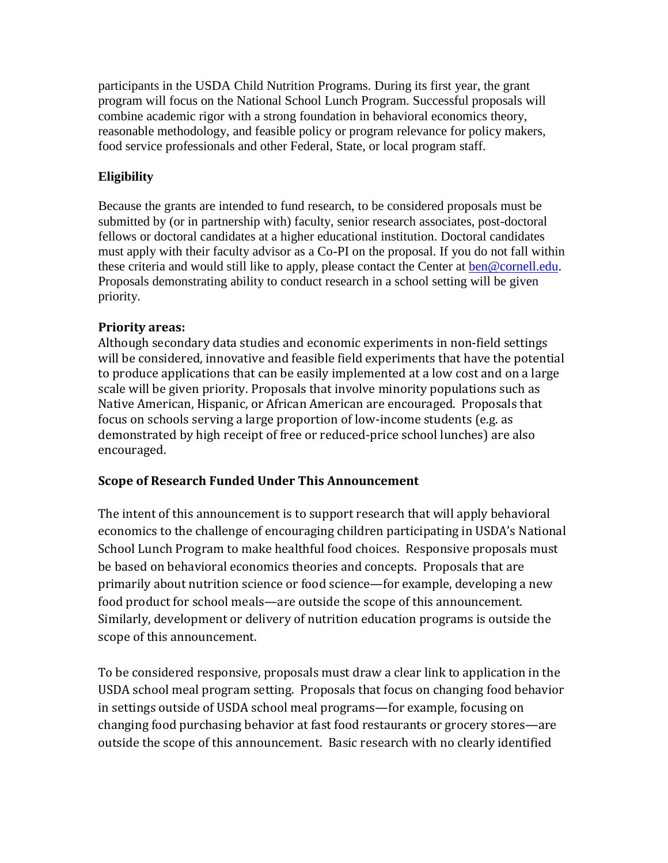participants in the USDA Child Nutrition Programs. During its first year, the grant program will focus on the National School Lunch Program. Successful proposals will combine academic rigor with a strong foundation in behavioral economics theory, reasonable methodology, and feasible policy or program relevance for policy makers, food service professionals and other Federal, State, or local program staff.

## **Eligibility**

Because the grants are intended to fund research, to be considered proposals must be submitted by (or in partnership with) faculty, senior research associates, post-doctoral fellows or doctoral candidates at a higher educational institution. Doctoral candidates must apply with their faculty advisor as a Co-PI on the proposal. If you do not fall within these criteria and would still like to apply, please contact the Center at [ben@cornell.edu.](mailto:ben@cornell.edu) Proposals demonstrating ability to conduct research in a school setting will be given priority.

## **Priority areas:**

Although secondary data studies and economic experiments in non-field settings will be considered, innovative and feasible field experiments that have the potential to produce applications that can be easily implemented at a low cost and on a large scale will be given priority. Proposals that involve minority populations such as Native American, Hispanic, or African American are encouraged. Proposals that focus on schools serving a large proportion of low-income students (e.g. as demonstrated by high receipt of free or reduced-price school lunches) are also encouraged.

### **Scope of Research Funded Under This Announcement**

The intent of this announcement is to support research that will apply behavioral economics to the challenge of encouraging children participating in USDA's National School Lunch Program to make healthful food choices. Responsive proposals must be based on behavioral economics theories and concepts. Proposals that are primarily about nutrition science or food science—for example, developing a new food product for school meals—are outside the scope of this announcement. Similarly, development or delivery of nutrition education programs is outside the scope of this announcement.

To be considered responsive, proposals must draw a clear link to application in the USDA school meal program setting. Proposals that focus on changing food behavior in settings outside of USDA school meal programs—for example, focusing on changing food purchasing behavior at fast food restaurants or grocery stores—are outside the scope of this announcement. Basic research with no clearly identified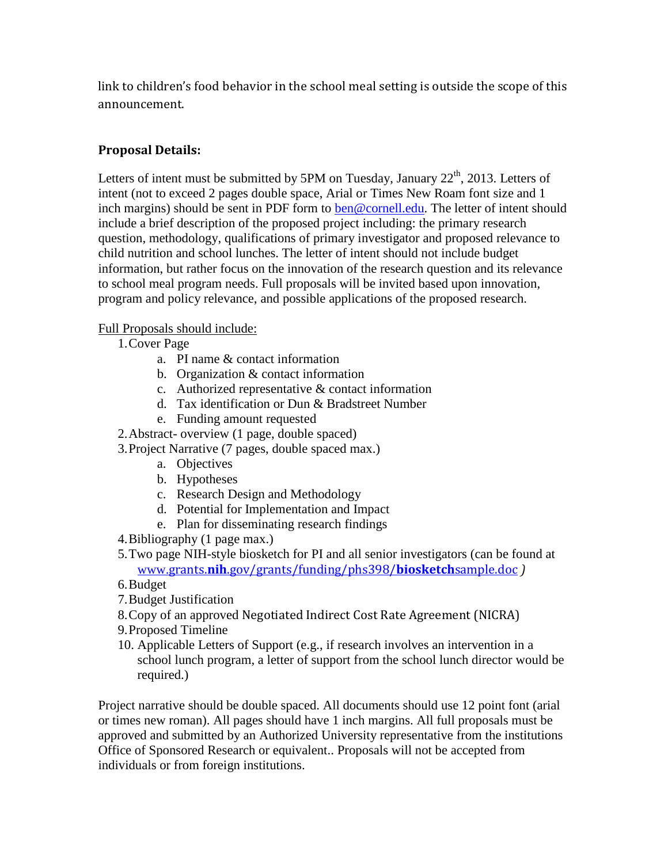link to children's food behavior in the school meal setting is outside the scope of this announcement.

## **Proposal Details:**

Letters of intent must be submitted by 5PM on Tuesday, January  $22<sup>th</sup>$ , 2013. Letters of intent (not to exceed 2 pages double space, Arial or Times New Roam font size and 1 inch margins) should be sent in PDF form to [ben@cornell.edu.](mailto:ben@cornell.edu) The letter of intent should include a brief description of the proposed project including: the primary research question, methodology, qualifications of primary investigator and proposed relevance to child nutrition and school lunches. The letter of intent should not include budget information, but rather focus on the innovation of the research question and its relevance to school meal program needs. Full proposals will be invited based upon innovation, program and policy relevance, and possible applications of the proposed research.

### Full Proposals should include:

- 1.Cover Page
	- a. PI name & contact information
	- b. Organization & contact information
	- c. Authorized representative & contact information
	- d. Tax identification or Dun & Bradstreet Number
	- e. Funding amount requested
- 2.Abstract- overview (1 page, double spaced)
- 3.Project Narrative (7 pages, double spaced max.)
	- a. Objectives
	- b. Hypotheses
	- c. Research Design and Methodology
	- d. Potential for Implementation and Impact
	- e. Plan for disseminating research findings
- 4.Bibliography (1 page max.)
- 5.Two page NIH-style biosketch for PI and all senior investigators (can be found at www.grants.**nih**[.gov/grants/funding/phs398/](http://www.grants.nih.gov/grants/funding/phs398/biosketchsample.doc)**biosketch**sample.doc *)*
- 6.Budget
- 7.Budget Justification
- 8.Copy of an approved Negotiated Indirect Cost Rate Agreement (NICRA)
- 9.Proposed Timeline
- 10. Applicable Letters of Support (e.g., if research involves an intervention in a school lunch program, a letter of support from the school lunch director would be required.)

Project narrative should be double spaced. All documents should use 12 point font (arial or times new roman). All pages should have 1 inch margins. All full proposals must be approved and submitted by an Authorized University representative from the institutions Office of Sponsored Research or equivalent.. Proposals will not be accepted from individuals or from foreign institutions.